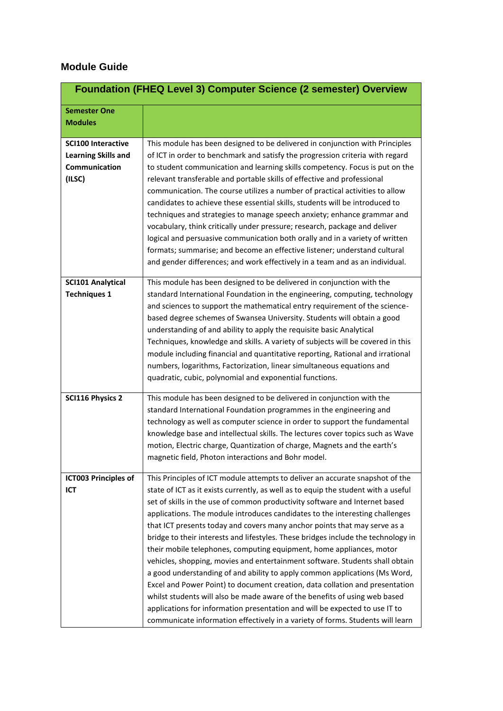## **Module Guide**

|                            | <b>Foundation (FHEQ Level 3) Computer Science (2 semester) Overview</b>            |
|----------------------------|------------------------------------------------------------------------------------|
| <b>Semester One</b>        |                                                                                    |
| <b>Modules</b>             |                                                                                    |
|                            |                                                                                    |
| <b>SCI100 Interactive</b>  | This module has been designed to be delivered in conjunction with Principles       |
| <b>Learning Skills and</b> | of ICT in order to benchmark and satisfy the progression criteria with regard      |
| Communication              | to student communication and learning skills competency. Focus is put on the       |
| (ILSC)                     | relevant transferable and portable skills of effective and professional            |
|                            | communication. The course utilizes a number of practical activities to allow       |
|                            | candidates to achieve these essential skills, students will be introduced to       |
|                            | techniques and strategies to manage speech anxiety; enhance grammar and            |
|                            | vocabulary, think critically under pressure; research, package and deliver         |
|                            | logical and persuasive communication both orally and in a variety of written       |
|                            | formats; summarise; and become an effective listener; understand cultural          |
|                            | and gender differences; and work effectively in a team and as an individual.       |
| <b>SCI101 Analytical</b>   | This module has been designed to be delivered in conjunction with the              |
| <b>Techniques 1</b>        | standard International Foundation in the engineering, computing, technology        |
|                            | and sciences to support the mathematical entry requirement of the science-         |
|                            | based degree schemes of Swansea University. Students will obtain a good            |
|                            | understanding of and ability to apply the requisite basic Analytical               |
|                            | Techniques, knowledge and skills. A variety of subjects will be covered in this    |
|                            | module including financial and quantitative reporting, Rational and irrational     |
|                            | numbers, logarithms, Factorization, linear simultaneous equations and              |
|                            | quadratic, cubic, polynomial and exponential functions.                            |
|                            |                                                                                    |
| <b>SCI116 Physics 2</b>    | This module has been designed to be delivered in conjunction with the              |
|                            | standard International Foundation programmes in the engineering and                |
|                            | technology as well as computer science in order to support the fundamental         |
|                            | knowledge base and intellectual skills. The lectures cover topics such as Wave     |
|                            | motion, Electric charge, Quantization of charge, Magnets and the earth's           |
|                            | magnetic field, Photon interactions and Bohr model.                                |
| ICT003 Principles of       | This Principles of ICT module attempts to deliver an accurate snapshot of the      |
| <b>ICT</b>                 | state of ICT as it exists currently, as well as to equip the student with a useful |
|                            | set of skills in the use of common productivity software and Internet based        |
|                            | applications. The module introduces candidates to the interesting challenges       |
|                            | that ICT presents today and covers many anchor points that may serve as a          |
|                            | bridge to their interests and lifestyles. These bridges include the technology in  |
|                            | their mobile telephones, computing equipment, home appliances, motor               |
|                            | vehicles, shopping, movies and entertainment software. Students shall obtain       |
|                            | a good understanding of and ability to apply common applications (Ms Word,         |
|                            | Excel and Power Point) to document creation, data collation and presentation       |
|                            | whilst students will also be made aware of the benefits of using web based         |
|                            | applications for information presentation and will be expected to use IT to        |
|                            | communicate information effectively in a variety of forms. Students will learn     |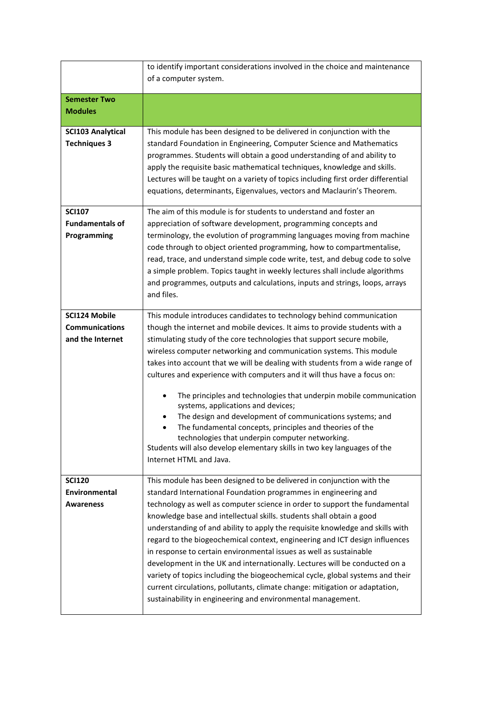|                                                            | to identify important considerations involved in the choice and maintenance                                                                                                                                                                                                                                                                                                                                                                                                                                                                                                                                                                                                                                                                                                                                                                                     |
|------------------------------------------------------------|-----------------------------------------------------------------------------------------------------------------------------------------------------------------------------------------------------------------------------------------------------------------------------------------------------------------------------------------------------------------------------------------------------------------------------------------------------------------------------------------------------------------------------------------------------------------------------------------------------------------------------------------------------------------------------------------------------------------------------------------------------------------------------------------------------------------------------------------------------------------|
|                                                            | of a computer system.                                                                                                                                                                                                                                                                                                                                                                                                                                                                                                                                                                                                                                                                                                                                                                                                                                           |
| <b>Semester Two</b>                                        |                                                                                                                                                                                                                                                                                                                                                                                                                                                                                                                                                                                                                                                                                                                                                                                                                                                                 |
| <b>Modules</b>                                             |                                                                                                                                                                                                                                                                                                                                                                                                                                                                                                                                                                                                                                                                                                                                                                                                                                                                 |
| <b>SCI103 Analytical</b><br><b>Techniques 3</b>            | This module has been designed to be delivered in conjunction with the<br>standard Foundation in Engineering, Computer Science and Mathematics<br>programmes. Students will obtain a good understanding of and ability to<br>apply the requisite basic mathematical techniques, knowledge and skills.<br>Lectures will be taught on a variety of topics including first order differential<br>equations, determinants, Eigenvalues, vectors and Maclaurin's Theorem.                                                                                                                                                                                                                                                                                                                                                                                             |
| <b>SCI107</b><br><b>Fundamentals of</b><br>Programming     | The aim of this module is for students to understand and foster an<br>appreciation of software development, programming concepts and<br>terminology, the evolution of programming languages moving from machine<br>code through to object oriented programming, how to compartmentalise,<br>read, trace, and understand simple code write, test, and debug code to solve<br>a simple problem. Topics taught in weekly lectures shall include algorithms<br>and programmes, outputs and calculations, inputs and strings, loops, arrays<br>and files.                                                                                                                                                                                                                                                                                                            |
| SCI124 Mobile<br><b>Communications</b><br>and the Internet | This module introduces candidates to technology behind communication<br>though the internet and mobile devices. It aims to provide students with a<br>stimulating study of the core technologies that support secure mobile,<br>wireless computer networking and communication systems. This module<br>takes into account that we will be dealing with students from a wide range of<br>cultures and experience with computers and it will thus have a focus on:<br>The principles and technologies that underpin mobile communication<br>systems, applications and devices;<br>The design and development of communications systems; and<br>The fundamental concepts, principles and theories of the<br>technologies that underpin computer networking.<br>Students will also develop elementary skills in two key languages of the<br>Internet HTML and Java. |
| <b>SCI120</b><br>Environmental<br>Awareness                | This module has been designed to be delivered in conjunction with the<br>standard International Foundation programmes in engineering and<br>technology as well as computer science in order to support the fundamental<br>knowledge base and intellectual skills. students shall obtain a good<br>understanding of and ability to apply the requisite knowledge and skills with<br>regard to the biogeochemical context, engineering and ICT design influences<br>in response to certain environmental issues as well as sustainable<br>development in the UK and internationally. Lectures will be conducted on a<br>variety of topics including the biogeochemical cycle, global systems and their<br>current circulations, pollutants, climate change: mitigation or adaptation,<br>sustainability in engineering and environmental management.              |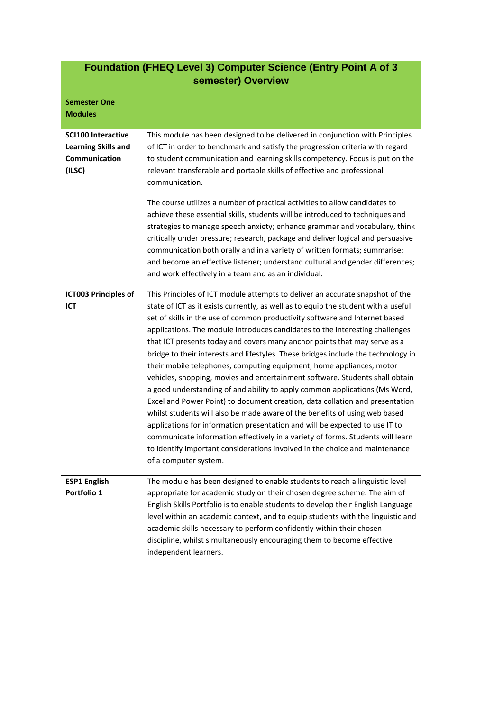| <b>Foundation (FHEQ Level 3) Computer Science (Entry Point A of 3</b><br>semester) Overview |                                                                                                                                                                                                                                                                                                                                                                                                                                                                                                                                                                                                                                                                                                                                                                                                                                                                                                                                                                                                                                                                                                                                                                                   |
|---------------------------------------------------------------------------------------------|-----------------------------------------------------------------------------------------------------------------------------------------------------------------------------------------------------------------------------------------------------------------------------------------------------------------------------------------------------------------------------------------------------------------------------------------------------------------------------------------------------------------------------------------------------------------------------------------------------------------------------------------------------------------------------------------------------------------------------------------------------------------------------------------------------------------------------------------------------------------------------------------------------------------------------------------------------------------------------------------------------------------------------------------------------------------------------------------------------------------------------------------------------------------------------------|
| <b>Semester One</b>                                                                         |                                                                                                                                                                                                                                                                                                                                                                                                                                                                                                                                                                                                                                                                                                                                                                                                                                                                                                                                                                                                                                                                                                                                                                                   |
| <b>Modules</b>                                                                              |                                                                                                                                                                                                                                                                                                                                                                                                                                                                                                                                                                                                                                                                                                                                                                                                                                                                                                                                                                                                                                                                                                                                                                                   |
| <b>SCI100 Interactive</b><br><b>Learning Skills and</b><br>Communication<br>(ILSC)          | This module has been designed to be delivered in conjunction with Principles<br>of ICT in order to benchmark and satisfy the progression criteria with regard<br>to student communication and learning skills competency. Focus is put on the<br>relevant transferable and portable skills of effective and professional<br>communication.<br>The course utilizes a number of practical activities to allow candidates to<br>achieve these essential skills, students will be introduced to techniques and<br>strategies to manage speech anxiety; enhance grammar and vocabulary, think<br>critically under pressure; research, package and deliver logical and persuasive<br>communication both orally and in a variety of written formats; summarise;<br>and become an effective listener; understand cultural and gender differences;<br>and work effectively in a team and as an individual.                                                                                                                                                                                                                                                                                 |
| <b>ICT003 Principles of</b><br>ICT                                                          | This Principles of ICT module attempts to deliver an accurate snapshot of the<br>state of ICT as it exists currently, as well as to equip the student with a useful<br>set of skills in the use of common productivity software and Internet based<br>applications. The module introduces candidates to the interesting challenges<br>that ICT presents today and covers many anchor points that may serve as a<br>bridge to their interests and lifestyles. These bridges include the technology in<br>their mobile telephones, computing equipment, home appliances, motor<br>vehicles, shopping, movies and entertainment software. Students shall obtain<br>a good understanding of and ability to apply common applications (Ms Word,<br>Excel and Power Point) to document creation, data collation and presentation<br>whilst students will also be made aware of the benefits of using web based<br>applications for information presentation and will be expected to use IT to<br>communicate information effectively in a variety of forms. Students will learn<br>to identify important considerations involved in the choice and maintenance<br>of a computer system. |
| <b>ESP1 English</b><br>Portfolio 1                                                          | The module has been designed to enable students to reach a linguistic level<br>appropriate for academic study on their chosen degree scheme. The aim of<br>English Skills Portfolio is to enable students to develop their English Language<br>level within an academic context, and to equip students with the linguistic and<br>academic skills necessary to perform confidently within their chosen<br>discipline, whilst simultaneously encouraging them to become effective<br>independent learners.                                                                                                                                                                                                                                                                                                                                                                                                                                                                                                                                                                                                                                                                         |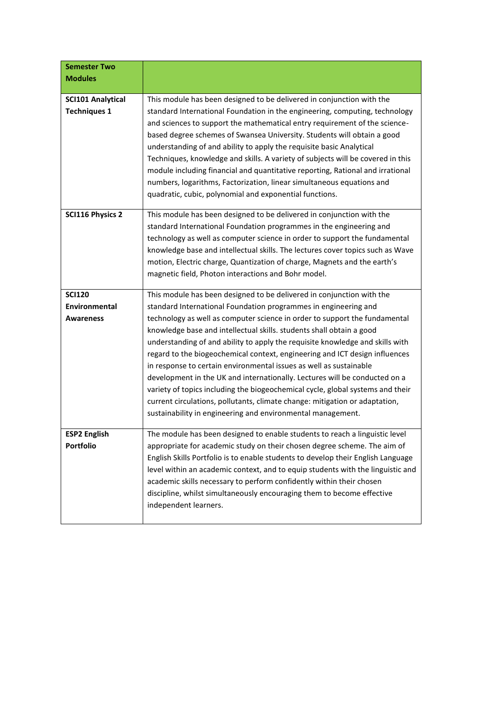| <b>Semester Two</b>                             |                                                                                                                                                                                                                                                                                                                                                                                                                                                                                                                                                                                                                                                                                                                                                                                                                                                    |
|-------------------------------------------------|----------------------------------------------------------------------------------------------------------------------------------------------------------------------------------------------------------------------------------------------------------------------------------------------------------------------------------------------------------------------------------------------------------------------------------------------------------------------------------------------------------------------------------------------------------------------------------------------------------------------------------------------------------------------------------------------------------------------------------------------------------------------------------------------------------------------------------------------------|
| <b>Modules</b>                                  |                                                                                                                                                                                                                                                                                                                                                                                                                                                                                                                                                                                                                                                                                                                                                                                                                                                    |
| <b>SCI101 Analytical</b><br><b>Techniques 1</b> | This module has been designed to be delivered in conjunction with the<br>standard International Foundation in the engineering, computing, technology<br>and sciences to support the mathematical entry requirement of the science-<br>based degree schemes of Swansea University. Students will obtain a good<br>understanding of and ability to apply the requisite basic Analytical<br>Techniques, knowledge and skills. A variety of subjects will be covered in this<br>module including financial and quantitative reporting, Rational and irrational<br>numbers, logarithms, Factorization, linear simultaneous equations and<br>quadratic, cubic, polynomial and exponential functions.                                                                                                                                                     |
| <b>SCI116 Physics 2</b>                         | This module has been designed to be delivered in conjunction with the<br>standard International Foundation programmes in the engineering and<br>technology as well as computer science in order to support the fundamental<br>knowledge base and intellectual skills. The lectures cover topics such as Wave<br>motion, Electric charge, Quantization of charge, Magnets and the earth's<br>magnetic field, Photon interactions and Bohr model.                                                                                                                                                                                                                                                                                                                                                                                                    |
| <b>SCI120</b><br>Environmental<br>Awareness     | This module has been designed to be delivered in conjunction with the<br>standard International Foundation programmes in engineering and<br>technology as well as computer science in order to support the fundamental<br>knowledge base and intellectual skills. students shall obtain a good<br>understanding of and ability to apply the requisite knowledge and skills with<br>regard to the biogeochemical context, engineering and ICT design influences<br>in response to certain environmental issues as well as sustainable<br>development in the UK and internationally. Lectures will be conducted on a<br>variety of topics including the biogeochemical cycle, global systems and their<br>current circulations, pollutants, climate change: mitigation or adaptation,<br>sustainability in engineering and environmental management. |
| <b>ESP2 English</b><br><b>Portfolio</b>         | The module has been designed to enable students to reach a linguistic level<br>appropriate for academic study on their chosen degree scheme. The aim of<br>English Skills Portfolio is to enable students to develop their English Language<br>level within an academic context, and to equip students with the linguistic and<br>academic skills necessary to perform confidently within their chosen<br>discipline, whilst simultaneously encouraging them to become effective<br>independent learners.                                                                                                                                                                                                                                                                                                                                          |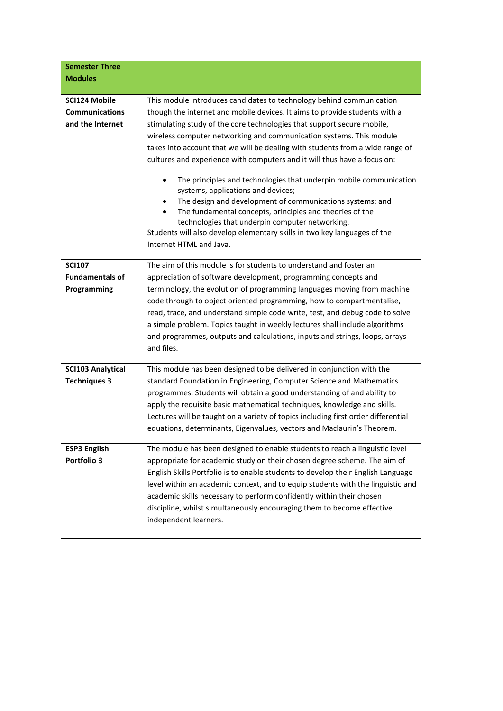| <b>Semester Three</b>    |                                                                                                                             |
|--------------------------|-----------------------------------------------------------------------------------------------------------------------------|
| <b>Modules</b>           |                                                                                                                             |
|                          |                                                                                                                             |
| <b>SCI124 Mobile</b>     | This module introduces candidates to technology behind communication                                                        |
| <b>Communications</b>    | though the internet and mobile devices. It aims to provide students with a                                                  |
| and the Internet         | stimulating study of the core technologies that support secure mobile,                                                      |
|                          | wireless computer networking and communication systems. This module                                                         |
|                          | takes into account that we will be dealing with students from a wide range of                                               |
|                          | cultures and experience with computers and it will thus have a focus on:                                                    |
|                          | The principles and technologies that underpin mobile communication<br>systems, applications and devices;                    |
|                          | The design and development of communications systems; and                                                                   |
|                          | The fundamental concepts, principles and theories of the                                                                    |
|                          | technologies that underpin computer networking.<br>Students will also develop elementary skills in two key languages of the |
|                          | Internet HTML and Java.                                                                                                     |
|                          |                                                                                                                             |
| <b>SCI107</b>            | The aim of this module is for students to understand and foster an                                                          |
| <b>Fundamentals of</b>   | appreciation of software development, programming concepts and                                                              |
| Programming              | terminology, the evolution of programming languages moving from machine                                                     |
|                          | code through to object oriented programming, how to compartmentalise,                                                       |
|                          | read, trace, and understand simple code write, test, and debug code to solve                                                |
|                          | a simple problem. Topics taught in weekly lectures shall include algorithms                                                 |
|                          | and programmes, outputs and calculations, inputs and strings, loops, arrays                                                 |
|                          | and files.                                                                                                                  |
|                          |                                                                                                                             |
| <b>SCI103 Analytical</b> | This module has been designed to be delivered in conjunction with the                                                       |
| <b>Techniques 3</b>      | standard Foundation in Engineering, Computer Science and Mathematics                                                        |
|                          | programmes. Students will obtain a good understanding of and ability to                                                     |
|                          | apply the requisite basic mathematical techniques, knowledge and skills.                                                    |
|                          | Lectures will be taught on a variety of topics including first order differential                                           |
|                          | equations, determinants, Eigenvalues, vectors and Maclaurin's Theorem.                                                      |
|                          |                                                                                                                             |
| <b>ESP3 English</b>      | The module has been designed to enable students to reach a linguistic level                                                 |
| Portfolio 3              | appropriate for academic study on their chosen degree scheme. The aim of                                                    |
|                          | English Skills Portfolio is to enable students to develop their English Language                                            |
|                          | level within an academic context, and to equip students with the linguistic and                                             |
|                          | academic skills necessary to perform confidently within their chosen                                                        |
|                          | discipline, whilst simultaneously encouraging them to become effective                                                      |
|                          | independent learners.                                                                                                       |
|                          |                                                                                                                             |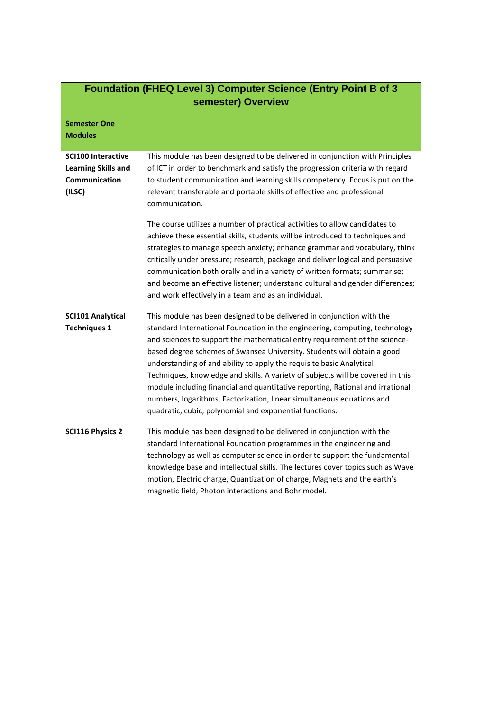| <b>Foundation (FHEQ Level 3) Computer Science (Entry Point B of 3</b><br>semester) Overview |                                                                                                                                                                                                                                                                                                                                                                                                                                                                                                                                                                                                                                                                                                |
|---------------------------------------------------------------------------------------------|------------------------------------------------------------------------------------------------------------------------------------------------------------------------------------------------------------------------------------------------------------------------------------------------------------------------------------------------------------------------------------------------------------------------------------------------------------------------------------------------------------------------------------------------------------------------------------------------------------------------------------------------------------------------------------------------|
| <b>Semester One</b><br><b>Modules</b>                                                       |                                                                                                                                                                                                                                                                                                                                                                                                                                                                                                                                                                                                                                                                                                |
| <b>SCI100 Interactive</b><br><b>Learning Skills and</b><br>Communication<br>(ILSC)          | This module has been designed to be delivered in conjunction with Principles<br>of ICT in order to benchmark and satisfy the progression criteria with regard<br>to student communication and learning skills competency. Focus is put on the<br>relevant transferable and portable skills of effective and professional<br>communication.                                                                                                                                                                                                                                                                                                                                                     |
|                                                                                             | The course utilizes a number of practical activities to allow candidates to<br>achieve these essential skills, students will be introduced to techniques and<br>strategies to manage speech anxiety; enhance grammar and vocabulary, think<br>critically under pressure; research, package and deliver logical and persuasive<br>communication both orally and in a variety of written formats; summarise;<br>and become an effective listener; understand cultural and gender differences;<br>and work effectively in a team and as an individual.                                                                                                                                            |
| <b>SCI101 Analytical</b><br><b>Techniques 1</b>                                             | This module has been designed to be delivered in conjunction with the<br>standard International Foundation in the engineering, computing, technology<br>and sciences to support the mathematical entry requirement of the science-<br>based degree schemes of Swansea University. Students will obtain a good<br>understanding of and ability to apply the requisite basic Analytical<br>Techniques, knowledge and skills. A variety of subjects will be covered in this<br>module including financial and quantitative reporting, Rational and irrational<br>numbers, logarithms, Factorization, linear simultaneous equations and<br>quadratic, cubic, polynomial and exponential functions. |
| <b>SCI116 Physics 2</b>                                                                     | This module has been designed to be delivered in conjunction with the<br>standard International Foundation programmes in the engineering and<br>technology as well as computer science in order to support the fundamental<br>knowledge base and intellectual skills. The lectures cover topics such as Wave<br>motion, Electric charge, Quantization of charge, Magnets and the earth's<br>magnetic field, Photon interactions and Bohr model.                                                                                                                                                                                                                                                |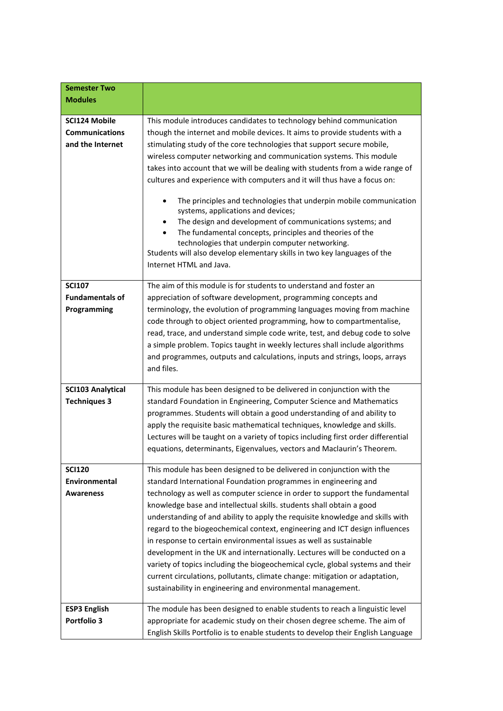| <b>Semester Two</b><br><b>Modules</b>                      |                                                                                                                                                                                                                                                                                                                                                                                                                                                                                                                                                                                                                                                                                                                                                                                                                                                                              |
|------------------------------------------------------------|------------------------------------------------------------------------------------------------------------------------------------------------------------------------------------------------------------------------------------------------------------------------------------------------------------------------------------------------------------------------------------------------------------------------------------------------------------------------------------------------------------------------------------------------------------------------------------------------------------------------------------------------------------------------------------------------------------------------------------------------------------------------------------------------------------------------------------------------------------------------------|
|                                                            |                                                                                                                                                                                                                                                                                                                                                                                                                                                                                                                                                                                                                                                                                                                                                                                                                                                                              |
| SCI124 Mobile<br><b>Communications</b><br>and the Internet | This module introduces candidates to technology behind communication<br>though the internet and mobile devices. It aims to provide students with a<br>stimulating study of the core technologies that support secure mobile,<br>wireless computer networking and communication systems. This module<br>takes into account that we will be dealing with students from a wide range of<br>cultures and experience with computers and it will thus have a focus on:<br>The principles and technologies that underpin mobile communication<br>$\bullet$<br>systems, applications and devices;<br>The design and development of communications systems; and<br>The fundamental concepts, principles and theories of the<br>technologies that underpin computer networking.<br>Students will also develop elementary skills in two key languages of the<br>Internet HTML and Java. |
| <b>SCI107</b><br><b>Fundamentals of</b><br>Programming     | The aim of this module is for students to understand and foster an<br>appreciation of software development, programming concepts and<br>terminology, the evolution of programming languages moving from machine<br>code through to object oriented programming, how to compartmentalise,<br>read, trace, and understand simple code write, test, and debug code to solve<br>a simple problem. Topics taught in weekly lectures shall include algorithms<br>and programmes, outputs and calculations, inputs and strings, loops, arrays<br>and files.                                                                                                                                                                                                                                                                                                                         |
| <b>SCI103 Analytical</b><br><b>Techniques 3</b>            | This module has been designed to be delivered in conjunction with the<br>standard Foundation in Engineering, Computer Science and Mathematics<br>programmes. Students will obtain a good understanding of and ability to<br>apply the requisite basic mathematical techniques, knowledge and skills.<br>Lectures will be taught on a variety of topics including first order differential<br>equations, determinants, Eigenvalues, vectors and Maclaurin's Theorem.                                                                                                                                                                                                                                                                                                                                                                                                          |
| <b>SCI120</b><br><b>Environmental</b><br><b>Awareness</b>  | This module has been designed to be delivered in conjunction with the<br>standard International Foundation programmes in engineering and<br>technology as well as computer science in order to support the fundamental<br>knowledge base and intellectual skills. students shall obtain a good<br>understanding of and ability to apply the requisite knowledge and skills with<br>regard to the biogeochemical context, engineering and ICT design influences<br>in response to certain environmental issues as well as sustainable<br>development in the UK and internationally. Lectures will be conducted on a<br>variety of topics including the biogeochemical cycle, global systems and their<br>current circulations, pollutants, climate change: mitigation or adaptation,<br>sustainability in engineering and environmental management.                           |
| <b>ESP3 English</b><br>Portfolio 3                         | The module has been designed to enable students to reach a linguistic level<br>appropriate for academic study on their chosen degree scheme. The aim of<br>English Skills Portfolio is to enable students to develop their English Language                                                                                                                                                                                                                                                                                                                                                                                                                                                                                                                                                                                                                                  |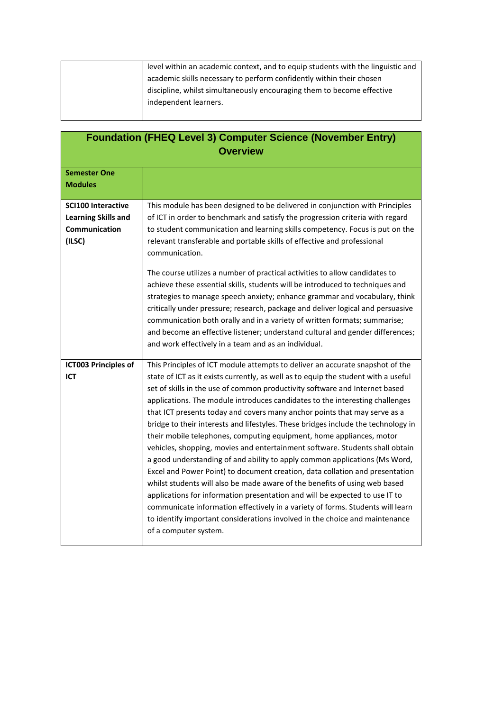| level within an academic context, and to equip students with the linguistic and |
|---------------------------------------------------------------------------------|
| academic skills necessary to perform confidently within their chosen            |
| discipline, whilst simultaneously encouraging them to become effective          |
| independent learners.                                                           |
|                                                                                 |

| <b>Foundation (FHEQ Level 3) Computer Science (November Entry)</b><br><b>Overview</b> |                                                                                                                                                                                                                                                                                                                                                                                                                                                                                                                                                                                                                                                                                                                                                                                                                                                                                                                                                                                                                                                                                                                                                                                   |
|---------------------------------------------------------------------------------------|-----------------------------------------------------------------------------------------------------------------------------------------------------------------------------------------------------------------------------------------------------------------------------------------------------------------------------------------------------------------------------------------------------------------------------------------------------------------------------------------------------------------------------------------------------------------------------------------------------------------------------------------------------------------------------------------------------------------------------------------------------------------------------------------------------------------------------------------------------------------------------------------------------------------------------------------------------------------------------------------------------------------------------------------------------------------------------------------------------------------------------------------------------------------------------------|
| <b>Semester One</b><br><b>Modules</b>                                                 |                                                                                                                                                                                                                                                                                                                                                                                                                                                                                                                                                                                                                                                                                                                                                                                                                                                                                                                                                                                                                                                                                                                                                                                   |
| <b>SCI100 Interactive</b><br><b>Learning Skills and</b><br>Communication<br>(ILSC)    | This module has been designed to be delivered in conjunction with Principles<br>of ICT in order to benchmark and satisfy the progression criteria with regard<br>to student communication and learning skills competency. Focus is put on the<br>relevant transferable and portable skills of effective and professional<br>communication.<br>The course utilizes a number of practical activities to allow candidates to<br>achieve these essential skills, students will be introduced to techniques and<br>strategies to manage speech anxiety; enhance grammar and vocabulary, think<br>critically under pressure; research, package and deliver logical and persuasive<br>communication both orally and in a variety of written formats; summarise;<br>and become an effective listener; understand cultural and gender differences;<br>and work effectively in a team and as an individual.                                                                                                                                                                                                                                                                                 |
| <b>ICT003 Principles of</b><br>ICT                                                    | This Principles of ICT module attempts to deliver an accurate snapshot of the<br>state of ICT as it exists currently, as well as to equip the student with a useful<br>set of skills in the use of common productivity software and Internet based<br>applications. The module introduces candidates to the interesting challenges<br>that ICT presents today and covers many anchor points that may serve as a<br>bridge to their interests and lifestyles. These bridges include the technology in<br>their mobile telephones, computing equipment, home appliances, motor<br>vehicles, shopping, movies and entertainment software. Students shall obtain<br>a good understanding of and ability to apply common applications (Ms Word,<br>Excel and Power Point) to document creation, data collation and presentation<br>whilst students will also be made aware of the benefits of using web based<br>applications for information presentation and will be expected to use IT to<br>communicate information effectively in a variety of forms. Students will learn<br>to identify important considerations involved in the choice and maintenance<br>of a computer system. |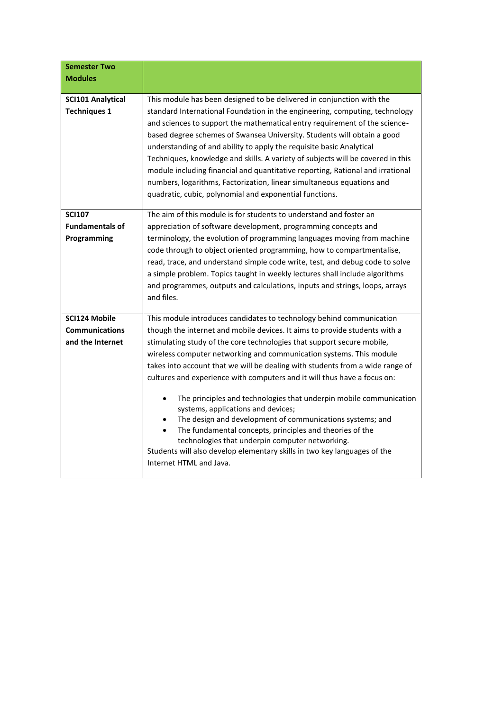| <b>Semester Two</b><br><b>Modules</b>                             |                                                                                                                                                                                                                                                                                                                                                                                                                                                                                                                                                                                                                                                                                                                                                                                                                                                                 |
|-------------------------------------------------------------------|-----------------------------------------------------------------------------------------------------------------------------------------------------------------------------------------------------------------------------------------------------------------------------------------------------------------------------------------------------------------------------------------------------------------------------------------------------------------------------------------------------------------------------------------------------------------------------------------------------------------------------------------------------------------------------------------------------------------------------------------------------------------------------------------------------------------------------------------------------------------|
|                                                                   |                                                                                                                                                                                                                                                                                                                                                                                                                                                                                                                                                                                                                                                                                                                                                                                                                                                                 |
| <b>SCI101 Analytical</b><br><b>Techniques 1</b>                   | This module has been designed to be delivered in conjunction with the<br>standard International Foundation in the engineering, computing, technology<br>and sciences to support the mathematical entry requirement of the science-<br>based degree schemes of Swansea University. Students will obtain a good<br>understanding of and ability to apply the requisite basic Analytical<br>Techniques, knowledge and skills. A variety of subjects will be covered in this<br>module including financial and quantitative reporting, Rational and irrational<br>numbers, logarithms, Factorization, linear simultaneous equations and<br>quadratic, cubic, polynomial and exponential functions.                                                                                                                                                                  |
| <b>SCI107</b><br><b>Fundamentals of</b><br>Programming            | The aim of this module is for students to understand and foster an<br>appreciation of software development, programming concepts and<br>terminology, the evolution of programming languages moving from machine<br>code through to object oriented programming, how to compartmentalise,<br>read, trace, and understand simple code write, test, and debug code to solve<br>a simple problem. Topics taught in weekly lectures shall include algorithms<br>and programmes, outputs and calculations, inputs and strings, loops, arrays<br>and files.                                                                                                                                                                                                                                                                                                            |
| <b>SCI124 Mobile</b><br><b>Communications</b><br>and the Internet | This module introduces candidates to technology behind communication<br>though the internet and mobile devices. It aims to provide students with a<br>stimulating study of the core technologies that support secure mobile,<br>wireless computer networking and communication systems. This module<br>takes into account that we will be dealing with students from a wide range of<br>cultures and experience with computers and it will thus have a focus on:<br>The principles and technologies that underpin mobile communication<br>systems, applications and devices;<br>The design and development of communications systems; and<br>The fundamental concepts, principles and theories of the<br>technologies that underpin computer networking.<br>Students will also develop elementary skills in two key languages of the<br>Internet HTML and Java. |